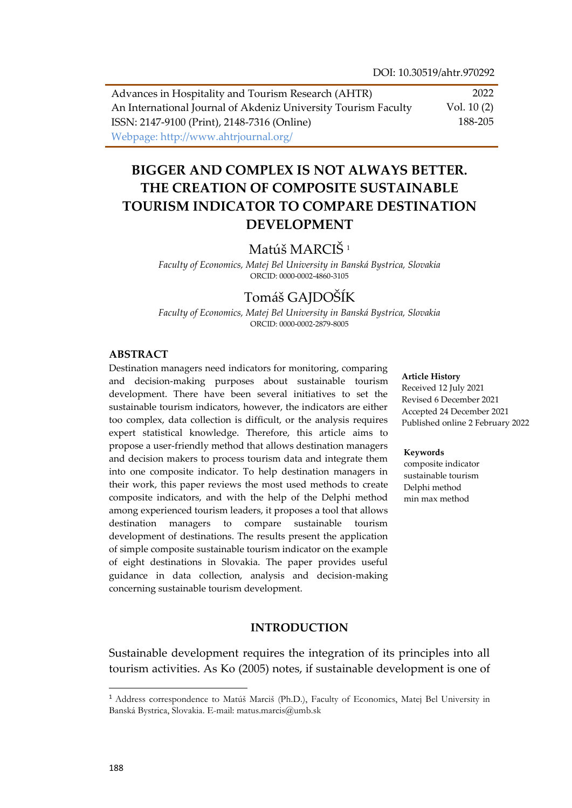Advances in Hospitality and Tourism Research (AHTR) An International Journal of Akdeniz University Tourism Faculty ISSN: 2147-9100 (Print), 2148-7316 (Online) Webpage: http://www.ahtrjournal.org/ 2022 Vol. 10 (2) 188-205

# **BIGGER AND COMPLEX IS NOT ALWAYS BETTER. THE CREATION OF COMPOSITE SUSTAINABLE TOURISM INDICATOR TO COMPARE DESTINATION DEVELOPMENT**

# Matúš MARCIŠ<sup>1</sup>

*Faculty of Economics, Matej Bel University in Banská Bystrica, Slovakia* ORCID: 0000-0002-4860-3105

## Tomáš GAJDOŠÍK

*Faculty of Economics, Matej Bel University in Banská Bystrica, Slovakia* ORCID: 0000-0002-2879-8005

### **ABSTRACT**

Destination managers need indicators for monitoring, comparing and decision-making purposes about sustainable tourism development. There have been several initiatives to set the sustainable tourism indicators, however, the indicators are either too complex, data collection is difficult, or the analysis requires expert statistical knowledge. Therefore, this article aims to propose a user-friendly method that allows destination managers and decision makers to process tourism data and integrate them into one composite indicator. To help destination managers in their work, this paper reviews the most used methods to create composite indicators, and with the help of the Delphi method among experienced tourism leaders, it proposes a tool that allows destination managers to compare sustainable tourism development of destinations. The results present the application of simple composite sustainable tourism indicator on the example of eight destinations in Slovakia. The paper provides useful guidance in data collection, analysis and decision-making concerning sustainable tourism development.

#### **Article History**

Received 12 July 2021 Revised 6 December 2021 Accepted 24 December 2021 Published online 2 February 2022

#### **Keywords**

composite indicator sustainable tourism Delphi method min max method

### **INTRODUCTION**

Sustainable development requires the integration of its principles into all tourism activities. As Ko (2005) notes, if sustainable development is one of

 $\overline{a}$ 

<sup>1</sup> Address correspondence to Matúš Marciš (Ph.D.), Faculty of Economics, Matej Bel University in Banská Bystrica, Slovakia. E-mail: matus.marcis@umb.sk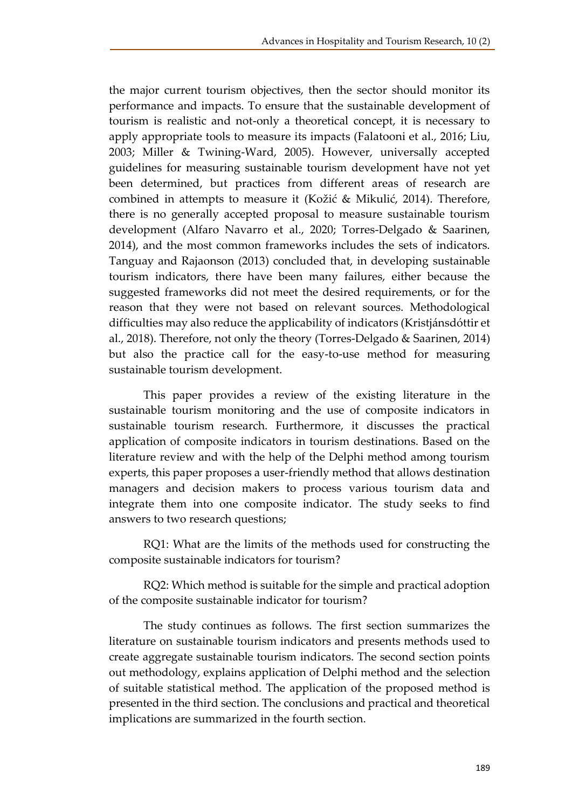the major current tourism objectives, then the sector should monitor its performance and impacts. To ensure that the sustainable development of tourism is realistic and not-only a theoretical concept, it is necessary to apply appropriate tools to measure its impacts (Falatooni et al., 2016; Liu, 2003; Miller & Twining-Ward, 2005). However, universally accepted guidelines for measuring sustainable tourism development have not yet been determined, but practices from different areas of research are combined in attempts to measure it (Kožić & Mikulić, 2014). Therefore, there is no generally accepted proposal to measure sustainable tourism development (Alfaro Navarro et al., 2020; Torres-Delgado & Saarinen, 2014), and the most common frameworks includes the sets of indicators. Tanguay and Rajaonson (2013) concluded that, in developing sustainable tourism indicators, there have been many failures, either because the suggested frameworks did not meet the desired requirements, or for the reason that they were not based on relevant sources. Methodological difficulties may also reduce the applicability of indicators (Kristjánsdóttir et al., 2018). Therefore, not only the theory (Torres-Delgado & Saarinen, 2014) but also the practice call for the easy-to-use method for measuring sustainable tourism development.

This paper provides a review of the existing literature in the sustainable tourism monitoring and the use of composite indicators in sustainable tourism research. Furthermore, it discusses the practical application of composite indicators in tourism destinations. Based on the literature review and with the help of the Delphi method among tourism experts, this paper proposes a user-friendly method that allows destination managers and decision makers to process various tourism data and integrate them into one composite indicator. The study seeks to find answers to two research questions;

RQ1: What are the limits of the methods used for constructing the composite sustainable indicators for tourism?

RQ2: Which method is suitable for the simple and practical adoption of the composite sustainable indicator for tourism?

The study continues as follows. The first section summarizes the literature on sustainable tourism indicators and presents methods used to create aggregate sustainable tourism indicators. The second section points out methodology, explains application of Delphi method and the selection of suitable statistical method. The application of the proposed method is presented in the third section. The conclusions and practical and theoretical implications are summarized in the fourth section.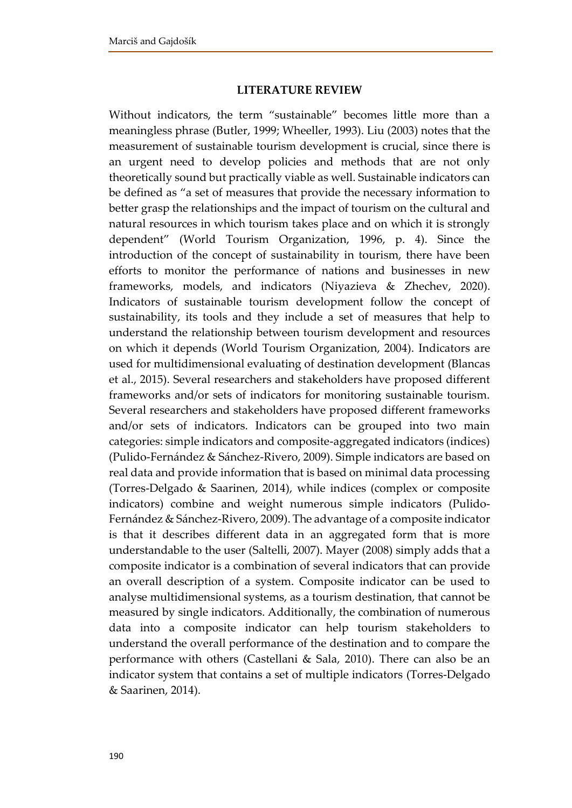#### **LITERATURE REVIEW**

Without indicators, the term "sustainable" becomes little more than a meaningless phrase (Butler, 1999; Wheeller, 1993). Liu (2003) notes that the measurement of sustainable tourism development is crucial, since there is an urgent need to develop policies and methods that are not only theoretically sound but practically viable as well. Sustainable indicators can be defined as "a set of measures that provide the necessary information to better grasp the relationships and the impact of tourism on the cultural and natural resources in which tourism takes place and on which it is strongly dependent" (World Tourism Organization, 1996, p. 4). Since the introduction of the concept of sustainability in tourism, there have been efforts to monitor the performance of nations and businesses in new frameworks, models, and indicators (Niyazieva & Zhechev, 2020). Indicators of sustainable tourism development follow the concept of sustainability, its tools and they include a set of measures that help to understand the relationship between tourism development and resources on which it depends (World Tourism Organization, 2004). Indicators are used for multidimensional evaluating of destination development (Blancas et al., 2015). Several researchers and stakeholders have proposed different frameworks and/or sets of indicators for monitoring sustainable tourism. Several researchers and stakeholders have proposed different frameworks and/or sets of indicators. Indicators can be grouped into two main categories: simple indicators and composite-aggregated indicators (indices) (Pulido-Fernández & Sánchez-Rivero, 2009). Simple indicators are based on real data and provide information that is based on minimal data processing (Torres-Delgado & Saarinen, 2014), while indices (complex or composite indicators) combine and weight numerous simple indicators (Pulido-Fernández & Sánchez-Rivero, 2009). The advantage of a composite indicator is that it describes different data in an aggregated form that is more understandable to the user (Saltelli, 2007). Mayer (2008) simply adds that a composite indicator is a combination of several indicators that can provide an overall description of a system. Composite indicator can be used to analyse multidimensional systems, as a tourism destination, that cannot be measured by single indicators. Additionally, the combination of numerous data into a composite indicator can help tourism stakeholders to understand the overall performance of the destination and to compare the performance with others (Castellani & Sala, 2010). There can also be an indicator system that contains a set of multiple indicators (Torres-Delgado & Saarinen, 2014).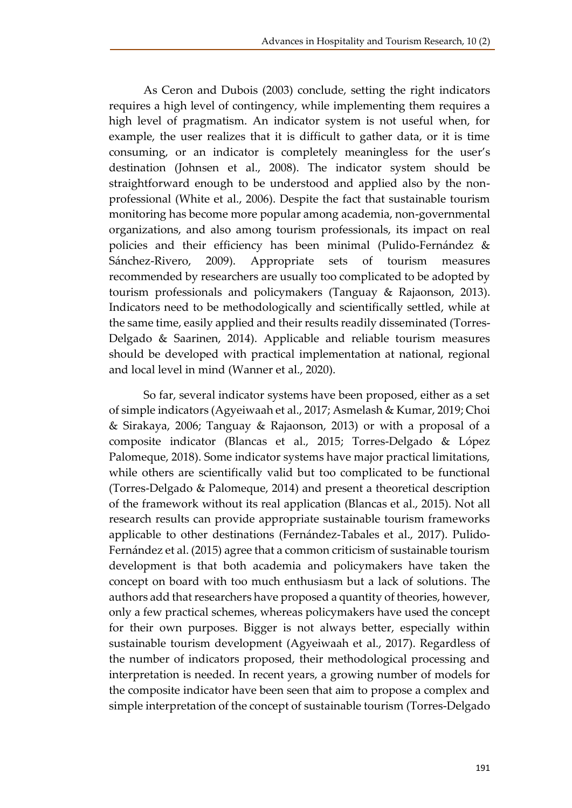As Ceron and Dubois (2003) conclude, setting the right indicators requires a high level of contingency, while implementing them requires a high level of pragmatism. An indicator system is not useful when, for example, the user realizes that it is difficult to gather data, or it is time consuming, or an indicator is completely meaningless for the user's destination (Johnsen et al., 2008). The indicator system should be straightforward enough to be understood and applied also by the nonprofessional (White et al., 2006). Despite the fact that sustainable tourism monitoring has become more popular among academia, non-governmental organizations, and also among tourism professionals, its impact on real policies and their efficiency has been minimal (Pulido-Fernández & Sánchez-Rivero, 2009). Appropriate sets of tourism measures recommended by researchers are usually too complicated to be adopted by tourism professionals and policymakers (Tanguay & Rajaonson, 2013). Indicators need to be methodologically and scientifically settled, while at the same time, easily applied and their results readily disseminated (Torres-Delgado & Saarinen, 2014). Applicable and reliable tourism measures should be developed with practical implementation at national, regional and local level in mind (Wanner et al., 2020).

So far, several indicator systems have been proposed, either as a set of simple indicators (Agyeiwaah et al., 2017; Asmelash & Kumar, 2019; Choi & Sirakaya, 2006; Tanguay & Rajaonson, 2013) or with a proposal of a composite indicator (Blancas et al., 2015; Torres-Delgado & López Palomeque, 2018). Some indicator systems have major practical limitations, while others are scientifically valid but too complicated to be functional (Torres-Delgado & Palomeque, 2014) and present a theoretical description of the framework without its real application (Blancas et al., 2015). Not all research results can provide appropriate sustainable tourism frameworks applicable to other destinations (Fernández-Tabales et al., 2017). Pulido-Fernández et al. (2015) agree that a common criticism of sustainable tourism development is that both academia and policymakers have taken the concept on board with too much enthusiasm but a lack of solutions. The authors add that researchers have proposed a quantity of theories, however, only a few practical schemes, whereas policymakers have used the concept for their own purposes. Bigger is not always better, especially within sustainable tourism development (Agyeiwaah et al., 2017). Regardless of the number of indicators proposed, their methodological processing and interpretation is needed. In recent years, a growing number of models for the composite indicator have been seen that aim to propose a complex and simple interpretation of the concept of sustainable tourism (Torres-Delgado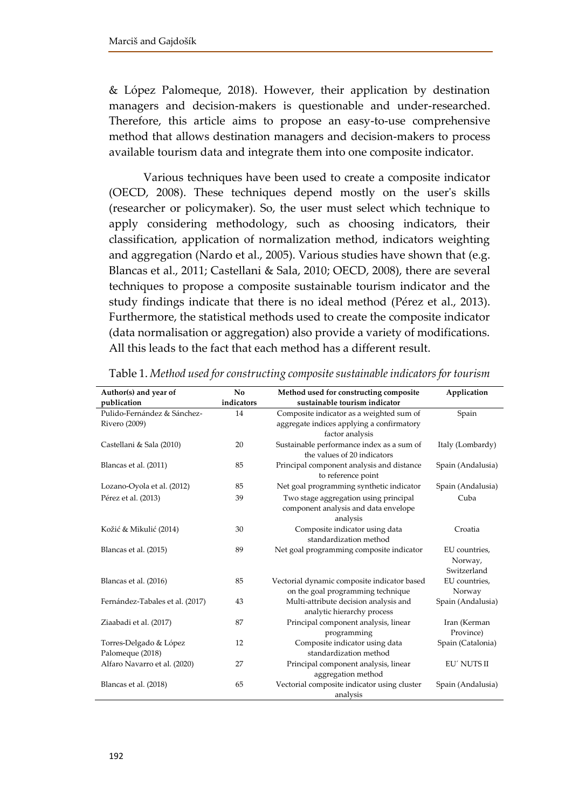& López Palomeque, 2018). However, their application by destination managers and decision-makers is questionable and under-researched. Therefore, this article aims to propose an easy-to-use comprehensive method that allows destination managers and decision-makers to process available tourism data and integrate them into one composite indicator.

Various techniques have been used to create a composite indicator (OECD, 2008). These techniques depend mostly on the user's skills (researcher or policymaker). So, the user must select which technique to apply considering methodology, such as choosing indicators, their classification, application of normalization method, indicators weighting and aggregation (Nardo et al., 2005). Various studies have shown that (e.g. Blancas et al., 2011; Castellani & Sala, 2010; OECD, 2008), there are several techniques to propose a composite sustainable tourism indicator and the study findings indicate that there is no ideal method (Pérez et al., 2013). Furthermore, the statistical methods used to create the composite indicator (data normalisation or aggregation) also provide a variety of modifications. All this leads to the fact that each method has a different result.

| Author(s) and year of           | N <sub>0</sub> | Method used for constructing composite      | Application       |
|---------------------------------|----------------|---------------------------------------------|-------------------|
| publication                     | indicators     | sustainable tourism indicator               |                   |
| Pulido-Fernández & Sánchez-     | 14             | Composite indicator as a weighted sum of    | Spain             |
| Rivero (2009)                   |                | aggregate indices applying a confirmatory   |                   |
|                                 |                | factor analysis                             |                   |
| Castellani & Sala (2010)        | 20             | Sustainable performance index as a sum of   | Italy (Lombardy)  |
|                                 |                | the values of 20 indicators                 |                   |
| Blancas et al. (2011)           | 85             | Principal component analysis and distance   | Spain (Andalusia) |
|                                 |                | to reference point                          |                   |
| Lozano-Oyola et al. (2012)      | 85             | Net goal programming synthetic indicator    | Spain (Andalusia) |
| Pérez et al. (2013)             | 39             | Two stage aggregation using principal       | Cuba              |
|                                 |                | component analysis and data envelope        |                   |
|                                 |                | analysis                                    |                   |
| Kožić & Mikulić (2014)          | 30             | Composite indicator using data              | Croatia           |
|                                 |                | standardization method                      |                   |
| Blancas et al. (2015)           | 89             | Net goal programming composite indicator    | EU countries,     |
|                                 |                |                                             | Norway,           |
|                                 |                |                                             | Switzerland       |
| Blancas et al. (2016)           | 85             | Vectorial dynamic composite indicator based | EU countries,     |
|                                 |                | on the goal programming technique           | Norway            |
| Fernández-Tabales et al. (2017) | 43             | Multi-attribute decision analysis and       | Spain (Andalusia) |
|                                 |                | analytic hierarchy process                  |                   |
| Ziaabadi et al. (2017)          | 87             | Principal component analysis, linear        | Iran (Kerman      |
|                                 |                | programming                                 | Province)         |
| Torres-Delgado & López          | 12             | Composite indicator using data              | Spain (Catalonia) |
| Palomeque (2018)                |                | standardization method                      |                   |
| Alfaro Navarro et al. (2020)    | 27             | Principal component analysis, linear        | EU' NUTS II       |
|                                 |                | aggregation method                          |                   |
| Blancas et al. (2018)           | 65             | Vectorial composite indicator using cluster | Spain (Andalusia) |
|                                 |                | analysis                                    |                   |

Table 1. *Method used for constructing composite sustainable indicators for tourism*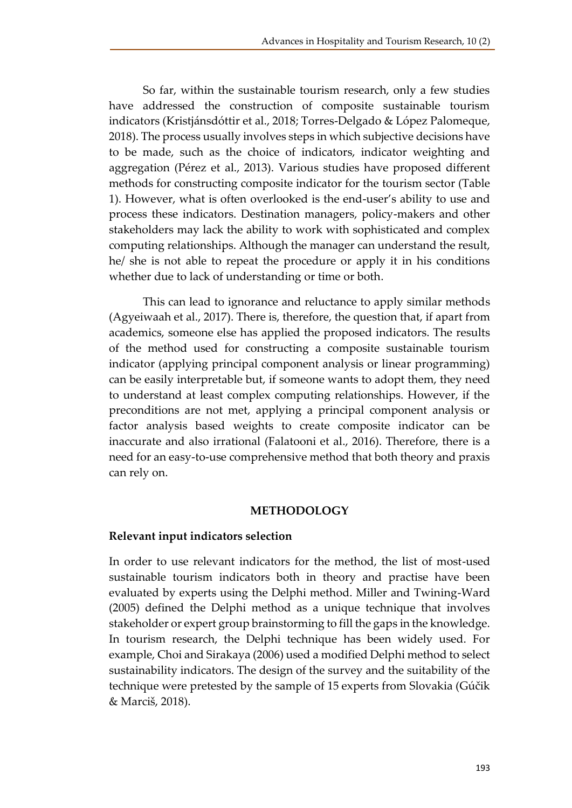So far, within the sustainable tourism research, only a few studies have addressed the construction of composite sustainable tourism indicators (Kristjánsdóttir et al., 2018; Torres-Delgado & López Palomeque, 2018). The process usually involves steps in which subjective decisions have to be made, such as the choice of indicators, indicator weighting and aggregation (Pérez et al., 2013). Various studies have proposed different methods for constructing composite indicator for the tourism sector (Table 1). However, what is often overlooked is the end-user's ability to use and process these indicators. Destination managers, policy-makers and other stakeholders may lack the ability to work with sophisticated and complex computing relationships. Although the manager can understand the result, he/ she is not able to repeat the procedure or apply it in his conditions whether due to lack of understanding or time or both.

This can lead to ignorance and reluctance to apply similar methods (Agyeiwaah et al., 2017). There is, therefore, the question that, if apart from academics, someone else has applied the proposed indicators. The results of the method used for constructing a composite sustainable tourism indicator (applying principal component analysis or linear programming) can be easily interpretable but, if someone wants to adopt them, they need to understand at least complex computing relationships. However, if the preconditions are not met, applying a principal component analysis or factor analysis based weights to create composite indicator can be inaccurate and also irrational (Falatooni et al., 2016). Therefore, there is a need for an easy-to-use comprehensive method that both theory and praxis can rely on.

## **METHODOLOGY**

## **Relevant input indicators selection**

In order to use relevant indicators for the method, the list of most-used sustainable tourism indicators both in theory and practise have been evaluated by experts using the Delphi method. Miller and Twining-Ward (2005) defined the Delphi method as a unique technique that involves stakeholder or expert group brainstorming to fill the gaps in the knowledge. In tourism research, the Delphi technique has been widely used. For example, Choi and Sirakaya (2006) used a modified Delphi method to select sustainability indicators. The design of the survey and the suitability of the technique were pretested by the sample of 15 experts from Slovakia (Gúčik & Marciš, 2018).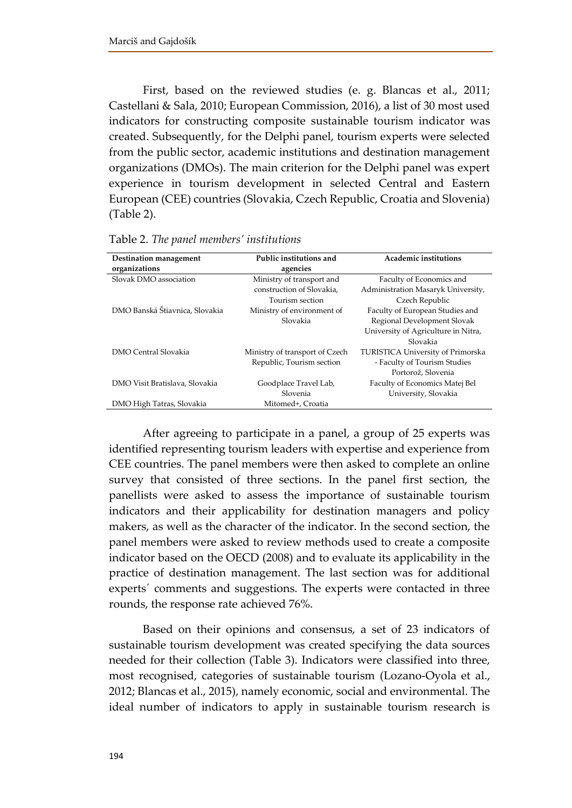First, based on the reviewed studies (e. g. Blancas et al., 2011; Castellani & Sala, 2010; European Commission, 2016), a list of 30 most used indicators for constructing composite sustainable tourism indicator was created. Subsequently, for the Delphi panel, tourism experts were selected from the public sector, academic institutions and destination management organizations (DMOs). The main criterion for the Delphi panel was expert experience in tourism development in selected Central and Eastern European (CEE) countries (Slovakia, Czech Republic, Croatia and Slovenia) (Table 2).

| Destination management         | Public institutions and        | <b>Academic institutions</b>             |
|--------------------------------|--------------------------------|------------------------------------------|
| organizations                  | agencies                       |                                          |
| Slovak DMO association         | Ministry of transport and      | Faculty of Economics and                 |
|                                | construction of Slovakia.      | Administration Masaryk University,       |
|                                | Tourism section                | Czech Republic                           |
| DMO Banská Štiavnica, Slovakia | Ministry of environment of     | Faculty of European Studies and          |
|                                | Slovakia                       | Regional Development Slovak              |
|                                |                                | University of Agriculture in Nitra,      |
|                                |                                | Slovakia                                 |
| DMO Central Slovakia           | Ministry of transport of Czech | <b>TURISTICA University of Primorska</b> |
|                                | Republic, Tourism section      | - Faculty of Tourism Studies             |
|                                |                                | Portorož, Slovenia                       |
| DMO Visit Bratislava, Slovakia | Goodplace Travel Lab,          | Faculty of Economics Matej Bel           |
|                                | Slovenia                       | University, Slovakia                     |
| DMO High Tatras, Slovakia      | Mitomed+, Croatia              |                                          |

Table 2. *The panel members' institutions*

After agreeing to participate in a panel, a group of 25 experts was identified representing tourism leaders with expertise and experience from CEE countries. The panel members were then asked to complete an online survey that consisted of three sections. In the panel first section, the panellists were asked to assess the importance of sustainable tourism indicators and their applicability for destination managers and policy makers, as well as the character of the indicator. In the second section, the panel members were asked to review methods used to create a composite indicator based on the OECD (2008) and to evaluate its applicability in the practice of destination management. The last section was for additional experts´ comments and suggestions. The experts were contacted in three rounds, the response rate achieved 76%.

Based on their opinions and consensus, a set of 23 indicators of sustainable tourism development was created specifying the data sources needed for their collection (Table 3). Indicators were classified into three, most recognised, categories of sustainable tourism (Lozano-Oyola et al., 2012; Blancas et al., 2015), namely economic, social and environmental. The ideal number of indicators to apply in sustainable tourism research is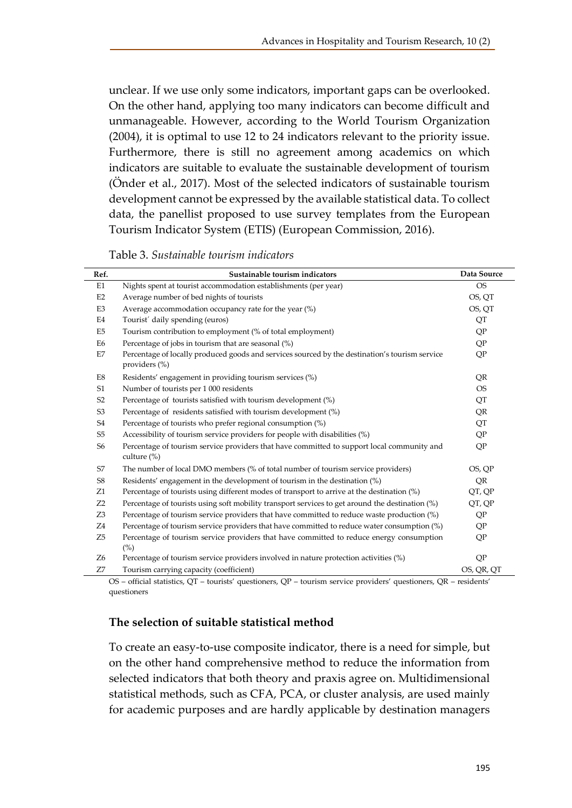unclear. If we use only some indicators, important gaps can be overlooked. On the other hand, applying too many indicators can become difficult and unmanageable. However, according to the World Tourism Organization (2004), it is optimal to use 12 to 24 indicators relevant to the priority issue. Furthermore, there is still no agreement among academics on which indicators are suitable to evaluate the sustainable development of tourism (Önder et al., 2017). Most of the selected indicators of sustainable tourism development cannot be expressed by the available statistical data. To collect data, the panellist proposed to use survey templates from the European Tourism Indicator System (ETIS) (European Commission, 2016).

| Table 3. Sustainable tourism indicators |  |  |
|-----------------------------------------|--|--|
|-----------------------------------------|--|--|

| Ref.           | Sustainable tourism indicators                                                                                  | Data Source |
|----------------|-----------------------------------------------------------------------------------------------------------------|-------------|
| E1             | Nights spent at tourist accommodation establishments (per year)                                                 | <b>OS</b>   |
| E <sub>2</sub> | Average number of bed nights of tourists                                                                        | OS, QT      |
| E3             | Average accommodation occupancy rate for the year $(\%)$                                                        | OS, OT      |
| E4             | Tourist' daily spending (euros)                                                                                 | QT          |
| E <sub>5</sub> | Tourism contribution to employment (% of total employment)                                                      | QP          |
| E <sub>6</sub> | Percentage of jobs in tourism that are seasonal (%)                                                             | QP          |
| E7             | Percentage of locally produced goods and services sourced by the destination's tourism service<br>providers (%) | QP          |
| E8             | Residents' engagement in providing tourism services (%)                                                         | QR          |
| S1             | Number of tourists per 1 000 residents                                                                          | <b>OS</b>   |
| S <sub>2</sub> | Percentage of tourists satisfied with tourism development (%)                                                   | QT          |
| S <sub>3</sub> | Percentage of residents satisfied with tourism development (%)                                                  | QR          |
| S <sub>4</sub> | Percentage of tourists who prefer regional consumption (%)                                                      | QT          |
| S <sub>5</sub> | Accessibility of tourism service providers for people with disabilities (%)                                     | QP          |
| S <sub>6</sub> | Percentage of tourism service providers that have committed to support local community and<br>culture $(\%)$    | QP          |
| S7             | The number of local DMO members (% of total number of tourism service providers)                                | OS, QP      |
| S <sub>8</sub> | Residents' engagement in the development of tourism in the destination (%)                                      | QR          |
| Z1             | Percentage of tourists using different modes of transport to arrive at the destination (%)                      | QT, QP      |
| Z <sub>2</sub> | Percentage of tourists using soft mobility transport services to get around the destination $\binom{9}{0}$      | QT, QP      |
| Z <sub>3</sub> | Percentage of tourism service providers that have committed to reduce waste production (%)                      | QP          |
| Z4             | Percentage of tourism service providers that have committed to reduce water consumption (%)                     | QP          |
| Z <sub>5</sub> | Percentage of tourism service providers that have committed to reduce energy consumption<br>(%)                 | QP          |
| Z6             | Percentage of tourism service providers involved in nature protection activities (%)                            | QP          |
| Z7             | Tourism carrying capacity (coefficient)                                                                         | OS, QR, QT  |

OS – official statistics, QT – tourists' questioners, QP – tourism service providers' questioners, QR – residents' questioners

## **The selection of suitable statistical method**

To create an easy-to-use composite indicator, there is a need for simple, but on the other hand comprehensive method to reduce the information from selected indicators that both theory and praxis agree on. Multidimensional statistical methods, such as CFA, PCA, or cluster analysis, are used mainly for academic purposes and are hardly applicable by destination managers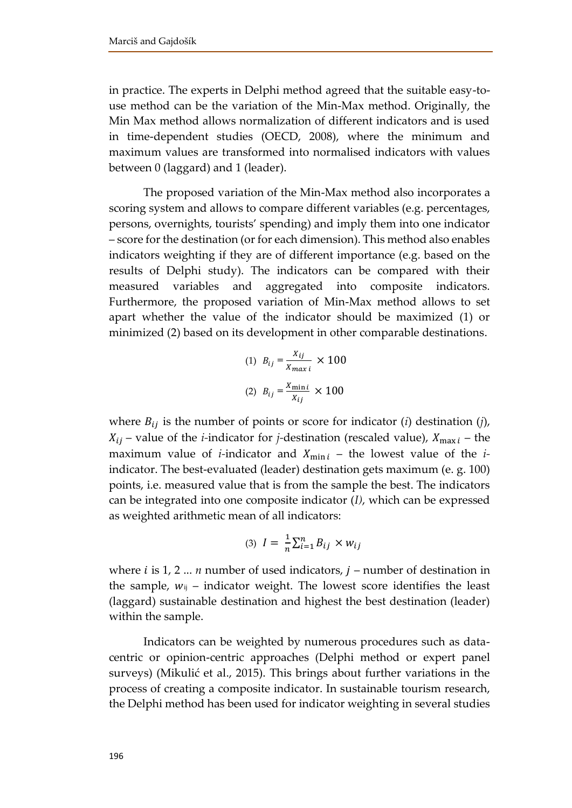in practice. The experts in Delphi method agreed that the suitable easy-touse method can be the variation of the Min-Max method. Originally, the Min Max method allows normalization of different indicators and is used in time-dependent studies (OECD, 2008), where the minimum and maximum values are transformed into normalised indicators with values between 0 (laggard) and 1 (leader).

The proposed variation of the Min-Max method also incorporates a scoring system and allows to compare different variables (e.g. percentages, persons, overnights, tourists' spending) and imply them into one indicator – score for the destination (or for each dimension). This method also enables indicators weighting if they are of different importance (e.g. based on the results of Delphi study). The indicators can be compared with their measured variables and aggregated into composite indicators. Furthermore, the proposed variation of Min-Max method allows to set apart whether the value of the indicator should be maximized (1) or minimized (2) based on its development in other comparable destinations.

(1) 
$$
B_{ij} = \frac{X_{ij}}{X_{max i}} \times 100
$$
  
(2)  $B_{ij} = \frac{X_{min i}}{X_{ij}} \times 100$ 

where  $B_{ij}$  is the number of points or score for indicator (*i*) destination (*j*),  $X_{ij}$  – value of the *i*-indicator for *j*-destination (rescaled value),  $X_{\text{max }i}$  – the maximum value of *i*-indicator and  $X_{\text{min }i}$  – the lowest value of the *i*indicator. The best-evaluated (leader) destination gets maximum (e. g. 100) points, i.e. measured value that is from the sample the best. The indicators can be integrated into one composite indicator (*I)*, which can be expressed as weighted arithmetic mean of all indicators:

$$
(3) I = \frac{1}{n} \sum_{i=1}^{n} B_{ij} \times w_{ij}
$$

where  $i$  is 1, 2 ... *n* number of used indicators,  $j$  – number of destination in the sample,  $w_{ij}$  – indicator weight. The lowest score identifies the least (laggard) sustainable destination and highest the best destination (leader) within the sample.

Indicators can be weighted by numerous procedures such as datacentric or opinion-centric approaches (Delphi method or expert panel surveys) (Mikulić et al., 2015). This brings about further variations in the process of creating a composite indicator. In sustainable tourism research, the Delphi method has been used for indicator weighting in several studies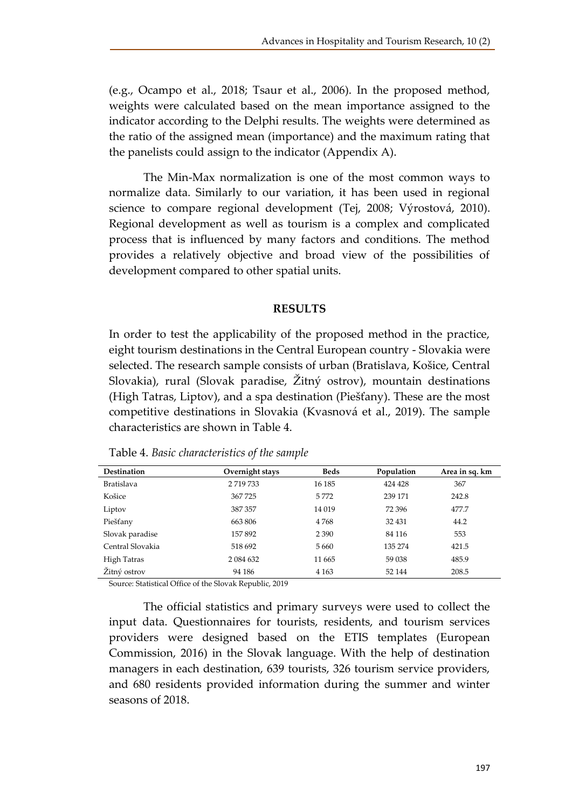(e.g., Ocampo et al., 2018; Tsaur et al., 2006). In the proposed method, weights were calculated based on the mean importance assigned to the indicator according to the Delphi results. The weights were determined as the ratio of the assigned mean (importance) and the maximum rating that the panelists could assign to the indicator (Appendix A).

The Min-Max normalization is one of the most common ways to normalize data. Similarly to our variation, it has been used in regional science to compare regional development (Tej, 2008; Výrostová, 2010). Regional development as well as tourism is a complex and complicated process that is influenced by many factors and conditions. The method provides a relatively objective and broad view of the possibilities of development compared to other spatial units.

## **RESULTS**

In order to test the applicability of the proposed method in the practice, eight tourism destinations in the Central European country - Slovakia were selected. The research sample consists of urban (Bratislava, Košice, Central Slovakia), rural (Slovak paradise, Žitný ostrov), mountain destinations (High Tatras, Liptov), and a spa destination (Piešťany). These are the most competitive destinations in Slovakia (Kvasnová et al., 2019). The sample characteristics are shown in Table 4.

| <b>Destination</b> | Overnight stays | <b>Beds</b> | Population | Area in sq. km |
|--------------------|-----------------|-------------|------------|----------------|
| <b>Bratislava</b>  | 2719733         | 16 18 5     | 424 428    | 367            |
| Košice             | 367725          | 5772        | 239 171    | 242.8          |
| Liptov             | 387 357         | 14 019      | 72 396     | 477.7          |
| Piešťany           | 663806          | 4768        | 32 431     | 44.2           |
| Slovak paradise    | 157 892         | 2 3 9 0     | 84 116     | 553            |
| Central Slovakia   | 518 692         | 5 6 6 0     | 135 274    | 421.5          |
| High Tatras        | 2 0 8 4 6 3 2   | 11 665      | 59 038     | 485.9          |
| Žitný ostrov       | 94 186          | 4 1 6 3     | 52 144     | 208.5          |

Table 4. *Basic characteristics of the sample*

Source: Statistical Office of the Slovak Republic, 2019

The official statistics and primary surveys were used to collect the input data. Questionnaires for tourists, residents, and tourism services providers were designed based on the ETIS templates (European Commission, 2016) in the Slovak language. With the help of destination managers in each destination, 639 tourists, 326 tourism service providers, and 680 residents provided information during the summer and winter seasons of 2018.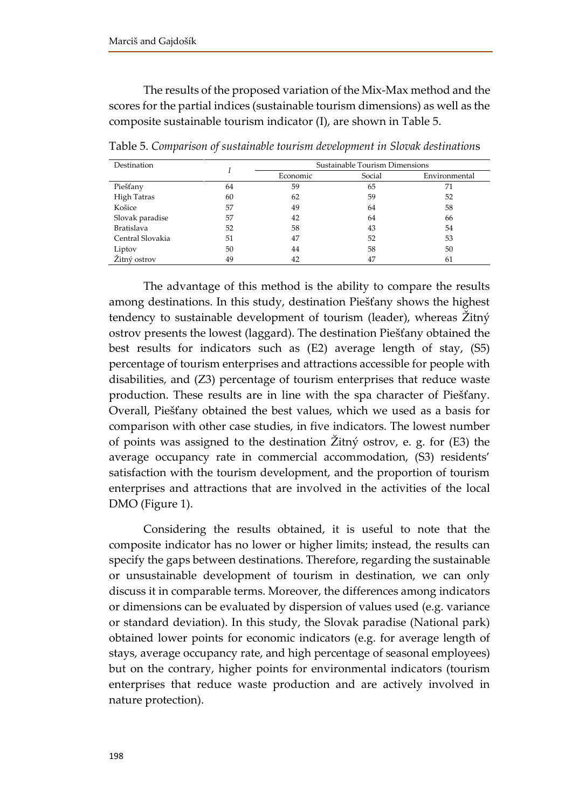The results of the proposed variation of the Mix-Max method and the scores for the partial indices (sustainable tourism dimensions) as well as the composite sustainable tourism indicator (I), are shown in Table 5.

| Destination       |    | Sustainable Tourism Dimensions |        |               |  |  |
|-------------------|----|--------------------------------|--------|---------------|--|--|
|                   |    | Economic                       | Social | Environmental |  |  |
| Piešťany          | 64 | 59                             | 65     | 71            |  |  |
| High Tatras       | 60 | 62                             | 59     | 52            |  |  |
| Košice            | 57 | 49                             | 64     | 58            |  |  |
| Slovak paradise   | 57 | 42                             | 64     | 66            |  |  |
| <b>Bratislava</b> | 52 | 58                             | 43     | 54            |  |  |
| Central Slovakia  | 51 | 47                             | 52     | 53            |  |  |
| Liptov            | 50 | 44                             | 58     | 50            |  |  |
| Žitný ostrov      | 49 | 42                             | 47     | 61            |  |  |

Table 5. *Comparison of sustainable tourism development in Slovak destination*s

The advantage of this method is the ability to compare the results among destinations. In this study, destination Piešťany shows the highest tendency to sustainable development of tourism (leader), whereas Žitný ostrov presents the lowest (laggard). The destination Piešťany obtained the best results for indicators such as (E2) average length of stay, (S5) percentage of tourism enterprises and attractions accessible for people with disabilities, and (Z3) percentage of tourism enterprises that reduce waste production. These results are in line with the spa character of Piešťany. Overall, Piešťany obtained the best values, which we used as a basis for comparison with other case studies, in five indicators. The lowest number of points was assigned to the destination Žitný ostrov, e. g. for (E3) the average occupancy rate in commercial accommodation, (S3) residents' satisfaction with the tourism development, and the proportion of tourism enterprises and attractions that are involved in the activities of the local DMO (Figure 1).

Considering the results obtained, it is useful to note that the composite indicator has no lower or higher limits; instead, the results can specify the gaps between destinations. Therefore, regarding the sustainable or unsustainable development of tourism in destination, we can only discuss it in comparable terms. Moreover, the differences among indicators or dimensions can be evaluated by dispersion of values used (e.g. variance or standard deviation). In this study, the Slovak paradise (National park) obtained lower points for economic indicators (e.g. for average length of stays, average occupancy rate, and high percentage of seasonal employees) but on the contrary, higher points for environmental indicators (tourism enterprises that reduce waste production and are actively involved in nature protection).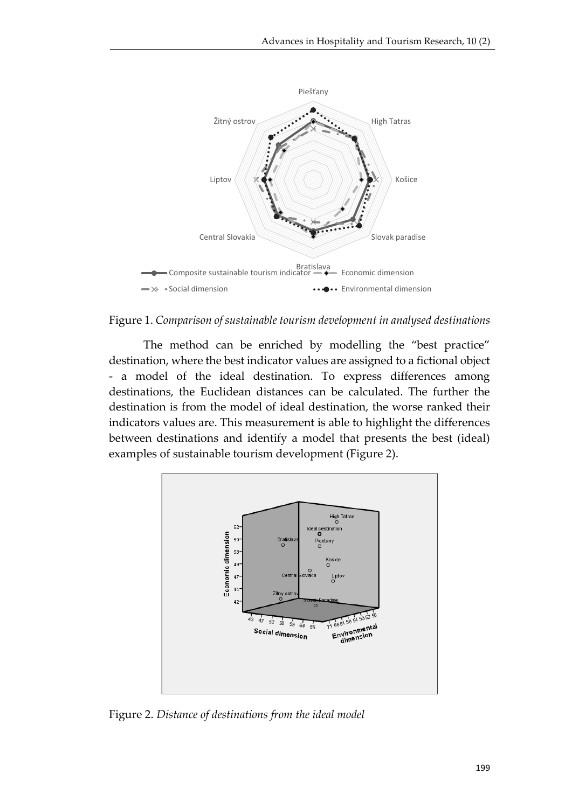



The method can be enriched by modelling the "best practice" destination, where the best indicator values are assigned to a fictional object - a model of the ideal destination. To express differences among destinations, the Euclidean distances can be calculated. The further the destination is from the model of ideal destination, the worse ranked their indicators values are. This measurement is able to highlight the differences between destinations and identify a model that presents the best (ideal) examples of sustainable tourism development (Figure 2).



Figure 2. *Distance of destinations from the ideal model*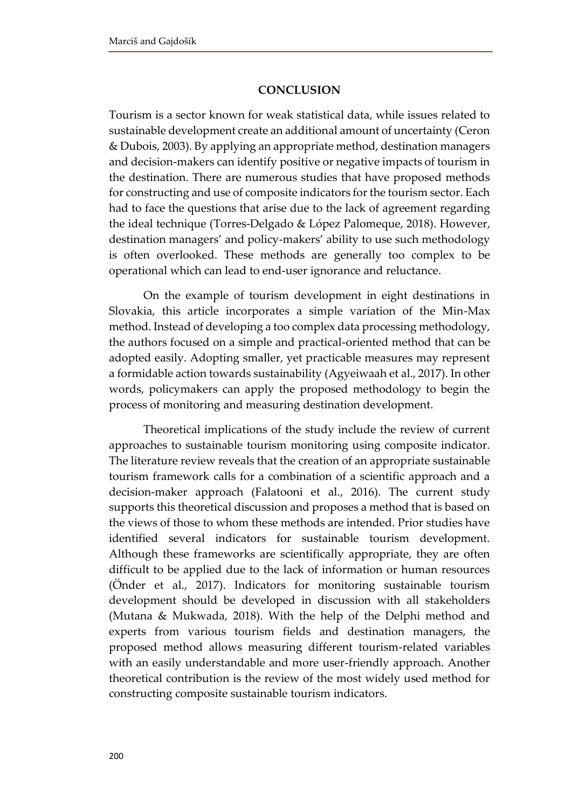## **CONCLUSION**

Tourism is a sector known for weak statistical data, while issues related to sustainable development create an additional amount of uncertainty (Ceron & Dubois, 2003). By applying an appropriate method, destination managers and decision-makers can identify positive or negative impacts of tourism in the destination. There are numerous studies that have proposed methods for constructing and use of composite indicators for the tourism sector. Each had to face the questions that arise due to the lack of agreement regarding the ideal technique (Torres-Delgado & López Palomeque, 2018). However, destination managers' and policy-makers' ability to use such methodology is often overlooked. These methods are generally too complex to be operational which can lead to end-user ignorance and reluctance.

On the example of tourism development in eight destinations in Slovakia, this article incorporates a simple variation of the Min-Max method. Instead of developing a too complex data processing methodology, the authors focused on a simple and practical-oriented method that can be adopted easily. Adopting smaller, yet practicable measures may represent a formidable action towards sustainability (Agyeiwaah et al., 2017). In other words, policymakers can apply the proposed methodology to begin the process of monitoring and measuring destination development.

Theoretical implications of the study include the review of current approaches to sustainable tourism monitoring using composite indicator. The literature review reveals that the creation of an appropriate sustainable tourism framework calls for a combination of a scientific approach and a decision-maker approach (Falatooni et al., 2016). The current study supports this theoretical discussion and proposes a method that is based on the views of those to whom these methods are intended. Prior studies have identified several indicators for sustainable tourism development. Although these frameworks are scientifically appropriate, they are often difficult to be applied due to the lack of information or human resources (Önder et al., 2017). Indicators for monitoring sustainable tourism development should be developed in discussion with all stakeholders (Mutana & Mukwada, 2018). With the help of the Delphi method and experts from various tourism fields and destination managers, the proposed method allows measuring different tourism-related variables with an easily understandable and more user-friendly approach. Another theoretical contribution is the review of the most widely used method for constructing composite sustainable tourism indicators.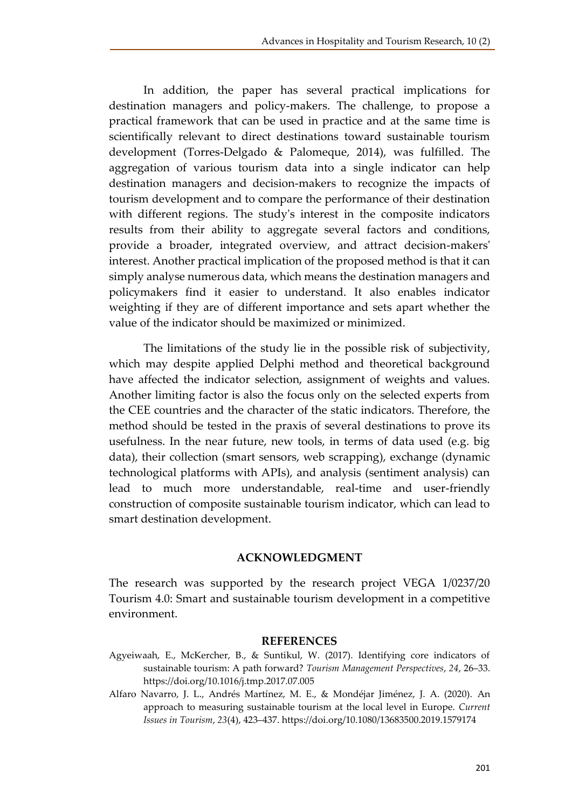In addition, the paper has several practical implications for destination managers and policy-makers. The challenge, to propose a practical framework that can be used in practice and at the same time is scientifically relevant to direct destinations toward sustainable tourism development (Torres-Delgado & Palomeque, 2014), was fulfilled. The aggregation of various tourism data into a single indicator can help destination managers and decision-makers to recognize the impacts of tourism development and to compare the performance of their destination with different regions. The study's interest in the composite indicators results from their ability to aggregate several factors and conditions, provide a broader, integrated overview, and attract decision-makers' interest. Another practical implication of the proposed method is that it can simply analyse numerous data, which means the destination managers and policymakers find it easier to understand. It also enables indicator weighting if they are of different importance and sets apart whether the value of the indicator should be maximized or minimized.

The limitations of the study lie in the possible risk of subjectivity, which may despite applied Delphi method and theoretical background have affected the indicator selection, assignment of weights and values. Another limiting factor is also the focus only on the selected experts from the CEE countries and the character of the static indicators. Therefore, the method should be tested in the praxis of several destinations to prove its usefulness. In the near future, new tools, in terms of data used (e.g. big data), their collection (smart sensors, web scrapping), exchange (dynamic technological platforms with APIs), and analysis (sentiment analysis) can lead to much more understandable, real-time and user-friendly construction of composite sustainable tourism indicator, which can lead to smart destination development.

#### **ACKNOWLEDGMENT**

The research was supported by the research project VEGA 1/0237/20 Tourism 4.0: Smart and sustainable tourism development in a competitive environment.

#### **REFERENCES**

- Agyeiwaah, E., McKercher, B., & Suntikul, W. (2017). Identifying core indicators of sustainable tourism: A path forward? *Tourism Management Perspectives*, *24*, 26–33. https://doi.org/10.1016/j.tmp.2017.07.005
- Alfaro Navarro, J. L., Andrés Martínez, M. E., & Mondéjar Jiménez, J. A. (2020). An approach to measuring sustainable tourism at the local level in Europe. *Current Issues in Tourism*, *23*(4), 423–437. https://doi.org/10.1080/13683500.2019.1579174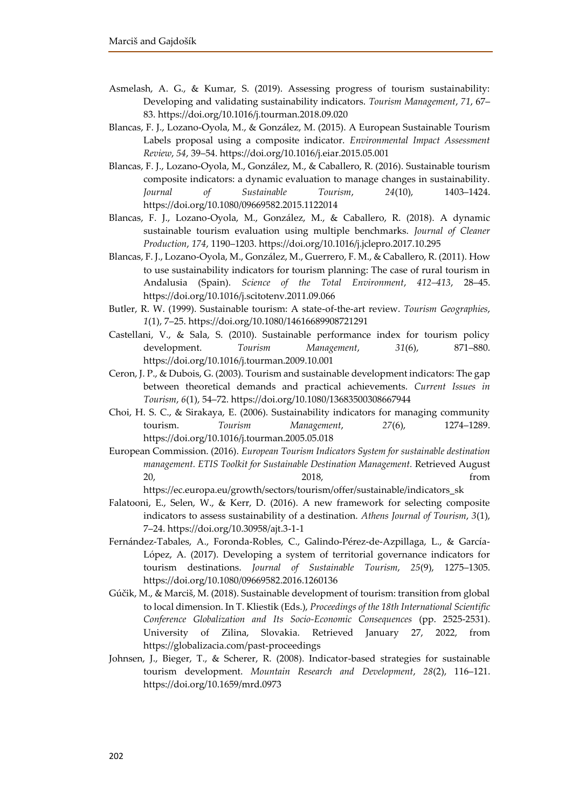- Asmelash, A. G., & Kumar, S. (2019). Assessing progress of tourism sustainability: Developing and validating sustainability indicators. *Tourism Management*, *71*, 67– 83. https://doi.org/10.1016/j.tourman.2018.09.020
- Blancas, F. J., Lozano-Oyola, M., & González, M. (2015). A European Sustainable Tourism Labels proposal using a composite indicator. *Environmental Impact Assessment Review*, *54*, 39–54. https://doi.org/10.1016/j.eiar.2015.05.001
- Blancas, F. J., Lozano-Oyola, M., González, M., & Caballero, R. (2016). Sustainable tourism composite indicators: a dynamic evaluation to manage changes in sustainability. *Journal of Sustainable Tourism*, *24*(10), 1403–1424. https://doi.org/10.1080/09669582.2015.1122014
- Blancas, F. J., Lozano-Oyola, M., González, M., & Caballero, R. (2018). A dynamic sustainable tourism evaluation using multiple benchmarks. *Journal of Cleaner Production*, *174*, 1190–1203. https://doi.org/10.1016/j.jclepro.2017.10.295
- Blancas, F. J., Lozano-Oyola, M., González, M., Guerrero, F. M., & Caballero, R. (2011). How to use sustainability indicators for tourism planning: The case of rural tourism in Andalusia (Spain). *Science of the Total Environment*, *412–413*, 28–45. https://doi.org/10.1016/j.scitotenv.2011.09.066
- Butler, R. W. (1999). Sustainable tourism: A state-of-the-art review. *Tourism Geographies*, *1*(1), 7–25. https://doi.org/10.1080/14616689908721291
- Castellani, V., & Sala, S. (2010). Sustainable performance index for tourism policy development. *Tourism Management*, *31*(6), 871–880. https://doi.org/10.1016/j.tourman.2009.10.001
- Ceron, J. P., & Dubois, G. (2003). Tourism and sustainable development indicators: The gap between theoretical demands and practical achievements. *Current Issues in Tourism*, *6*(1), 54–72. https://doi.org/10.1080/13683500308667944
- Choi, H. S. C., & Sirakaya, E. (2006). Sustainability indicators for managing community tourism. *Tourism Management*, *27*(6), 1274–1289. https://doi.org/10.1016/j.tourman.2005.05.018
- European Commission. (2016). *European Tourism Indicators System for sustainable destination management. ETIS Toolkit for Sustainable Destination Management.* Retrieved August 20, 2018, from
	- https://ec.europa.eu/growth/sectors/tourism/offer/sustainable/indicators\_sk
- Falatooni, E., Selen, W., & Kerr, D. (2016). A new framework for selecting composite indicators to assess sustainability of a destination. *Athens Journal of Tourism*, *3*(1), 7–24. https://doi.org/10.30958/ajt.3-1-1
- Fernández-Tabales, A., Foronda-Robles, C., Galindo-Pérez-de-Azpillaga, L., & García-López, A. (2017). Developing a system of territorial governance indicators for tourism destinations. *Journal of Sustainable Tourism*, *25*(9), 1275–1305. https://doi.org/10.1080/09669582.2016.1260136
- Gúčik, M., & Marciš, M. (2018). Sustainable development of tourism: transition from global to local dimension. In T. Kliestik (Eds.), *Proceedings of the 18th International Scientific Conference Globalization and Its Socio-Economic Consequences* (pp. 2525-2531). University of Zilina, Slovakia. Retrieved January 27, 2022, from https://globalizacia.com/past-proceedings
- Johnsen, J., Bieger, T., & Scherer, R. (2008). Indicator-based strategies for sustainable tourism development. *Mountain Research and Development*, *28*(2), 116–121. https://doi.org/10.1659/mrd.0973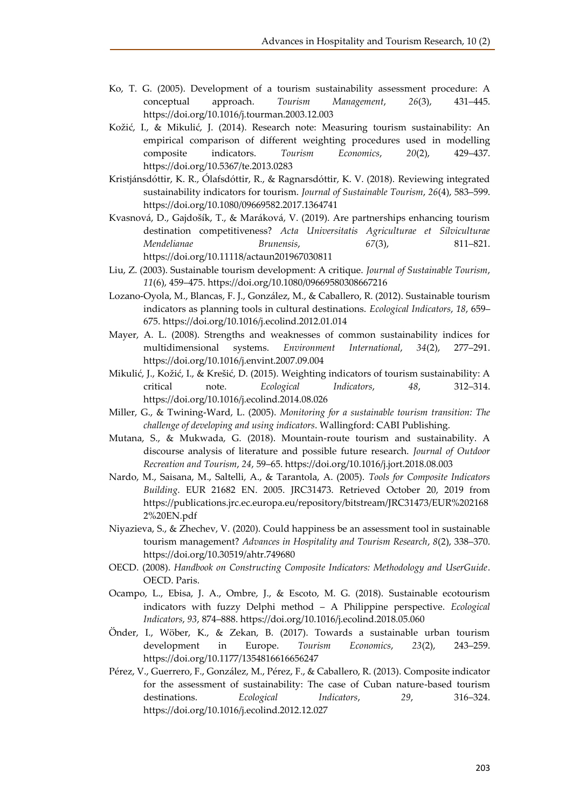- Ko, T. G. (2005). Development of a tourism sustainability assessment procedure: A conceptual approach. *Tourism Management*, *26*(3), 431–445. https://doi.org/10.1016/j.tourman.2003.12.003
- Kožić, I., & Mikulić, J. (2014). Research note: Measuring tourism sustainability: An empirical comparison of different weighting procedures used in modelling composite indicators. *Tourism Economics*, *20*(2), 429–437. https://doi.org/10.5367/te.2013.0283
- Kristjánsdóttir, K. R., Ólafsdóttir, R., & Ragnarsdóttir, K. V. (2018). Reviewing integrated sustainability indicators for tourism. *Journal of Sustainable Tourism*, *26*(4), 583–599. https://doi.org/10.1080/09669582.2017.1364741
- Kvasnová, D., Gajdošík, T., & Maráková, V. (2019). Are partnerships enhancing tourism destination competitiveness? *Acta Universitatis Agriculturae et Silviculturae Mendelianae Brunensis*, *67*(3), 811–821. https://doi.org/10.11118/actaun201967030811
- Liu, Z. (2003). Sustainable tourism development: A critique. *Journal of Sustainable Tourism*, *11*(6), 459–475. https://doi.org/10.1080/09669580308667216
- Lozano-Oyola, M., Blancas, F. J., González, M., & Caballero, R. (2012). Sustainable tourism indicators as planning tools in cultural destinations. *Ecological Indicators*, *18*, 659– 675. https://doi.org/10.1016/j.ecolind.2012.01.014
- Mayer, A. L. (2008). Strengths and weaknesses of common sustainability indices for multidimensional systems. *Environment International*, *34*(2), 277–291. https://doi.org/10.1016/j.envint.2007.09.004
- Mikulić, J., Kožić, I., & Krešić, D. (2015). Weighting indicators of tourism sustainability: A critical note. *Ecological Indicators*, *48*, 312–314. https://doi.org/10.1016/j.ecolind.2014.08.026
- Miller, G., & Twining-Ward, L. (2005). *Monitoring for a sustainable tourism transition: The challenge of developing and using indicators*. Wallingford: CABI Publishing.
- Mutana, S., & Mukwada, G. (2018). Mountain-route tourism and sustainability. A discourse analysis of literature and possible future research. *Journal of Outdoor Recreation and Tourism*, *24*, 59–65. https://doi.org/10.1016/j.jort.2018.08.003
- Nardo, M., Saisana, M., Saltelli, A., & Tarantola, A. (2005). *Tools for Composite Indicators Building*. EUR 21682 EN. 2005. JRC31473. Retrieved October 20, 2019 from https://publications.jrc.ec.europa.eu/repository/bitstream/JRC31473/EUR%202168 2%20EN.pdf
- Niyazieva, S., & Zhechev, V. (2020). Could happiness be an assessment tool in sustainable tourism management? *Advances in Hospitality and Tourism Research*, *8*(2), 338–370. https://doi.org/10.30519/ahtr.749680
- OECD. (2008). *Handbook on Constructing Composite Indicators: Methodology and UserGuide*. OECD. Paris.
- Ocampo, L., Ebisa, J. A., Ombre, J., & Escoto, M. G. (2018). Sustainable ecotourism indicators with fuzzy Delphi method – A Philippine perspective. *Ecological Indicators*, *93*, 874–888. https://doi.org/10.1016/j.ecolind.2018.05.060
- Önder, I., Wöber, K., & Zekan, B. (2017). Towards a sustainable urban tourism development in Europe. *Tourism Economics*, *23*(2), 243–259. https://doi.org/10.1177/1354816616656247
- Pérez, V., Guerrero, F., González, M., Pérez, F., & Caballero, R. (2013). Composite indicator for the assessment of sustainability: The case of Cuban nature-based tourism destinations. *Ecological Indicators*, *29*, 316–324. https://doi.org/10.1016/j.ecolind.2012.12.027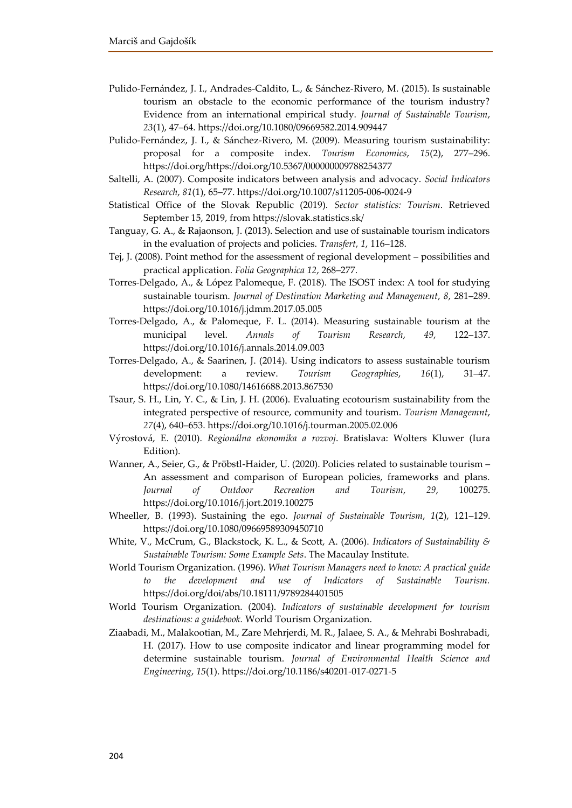- Pulido-Fernández, J. I., Andrades-Caldito, L., & Sánchez-Rivero, M. (2015). Is sustainable tourism an obstacle to the economic performance of the tourism industry? Evidence from an international empirical study. *Journal of Sustainable Tourism*, *23*(1), 47–64. https://doi.org/10.1080/09669582.2014.909447
- Pulido-Fernández, J. I., & Sánchez-Rivero, M. (2009). Measuring tourism sustainability: proposal for a composite index. *Tourism Economics*, *15*(2), 277–296. https://doi.org/https://doi.org/10.5367/000000009788254377
- Saltelli, A. (2007). Composite indicators between analysis and advocacy. *Social Indicators Research*, *81*(1), 65–77. https://doi.org/10.1007/s11205-006-0024-9
- Statistical Office of the Slovak Republic (2019). *Sector statistics: Tourism*. Retrieved September 15, 2019, from https://slovak.statistics.sk/
- Tanguay, G. A., & Rajaonson, J. (2013). Selection and use of sustainable tourism indicators in the evaluation of projects and policies. *Transfert*, *1*, 116–128.
- Tej, J. (2008). Point method for the assessment of regional development possibilities and practical application. *Folia Geographica 12*, 268–277.
- Torres-Delgado, A., & López Palomeque, F. (2018). The ISOST index: A tool for studying sustainable tourism. *Journal of Destination Marketing and Management*, *8*, 281–289. https://doi.org/10.1016/j.jdmm.2017.05.005
- Torres-Delgado, A., & Palomeque, F. L. (2014). Measuring sustainable tourism at the municipal level. *Annals of Tourism Research*, *49*, 122–137. https://doi.org/10.1016/j.annals.2014.09.003
- Torres-Delgado, A., & Saarinen, J. (2014). Using indicators to assess sustainable tourism development: a review. *Tourism Geographies*, *16*(1), 31–47. https://doi.org/10.1080/14616688.2013.867530
- Tsaur, S. H., Lin, Y. C., & Lin, J. H. (2006). Evaluating ecotourism sustainability from the integrated perspective of resource, community and tourism. *Tourism Managemnt*, *27*(4), 640–653. https://doi.org/10.1016/j.tourman.2005.02.006
- Výrostová, E. (2010). *Regionálna ekonomika a rozvoj*. Bratislava: Wolters Kluwer (Iura Edition).
- Wanner, A., Seier, G., & Pröbstl-Haider, U. (2020). Policies related to sustainable tourism An assessment and comparison of European policies, frameworks and plans. *Journal of Outdoor Recreation and Tourism*, *29*, 100275. https://doi.org/10.1016/j.jort.2019.100275
- Wheeller, B. (1993). Sustaining the ego. *Journal of Sustainable Tourism*, *1*(2), 121–129. https://doi.org/10.1080/09669589309450710
- White, V., McCrum, G., Blackstock, K. L., & Scott, A. (2006). *Indicators of Sustainability & Sustainable Tourism: Some Example Sets*. The Macaulay Institute.
- World Tourism Organization. (1996). *What Tourism Managers need to know: A practical guide to the development and use of Indicators of Sustainable Tourism.* https://doi.org/doi/abs/10.18111/9789284401505
- World Tourism Organization. (2004). *Indicators of sustainable development for tourism destinations: a guidebook.* World Tourism Organization.
- Ziaabadi, M., Malakootian, M., Zare Mehrjerdi, M. R., Jalaee, S. A., & Mehrabi Boshrabadi, H. (2017). How to use composite indicator and linear programming model for determine sustainable tourism. *Journal of Environmental Health Science and Engineering*, *15*(1). https://doi.org/10.1186/s40201-017-0271-5